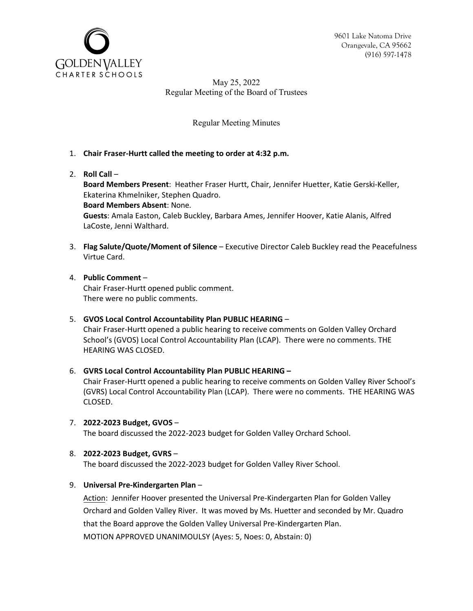

9601 Lake Natoma Drive Orangevale, CA 95662 (916) 597-1478

May 25, 2022 Regular Meeting of the Board of Trustees

Regular Meeting Minutes

- 1. **Chair Fraser-Hurtt called the meeting to order at 4:32 p.m.**
- 2. **Roll Call** –

**Board Members Present**: Heather Fraser Hurtt, Chair, Jennifer Huetter, Katie Gerski-Keller, Ekaterina Khmelniker, Stephen Quadro. **Board Members Absent**: None. **Guests**: Amala Easton, Caleb Buckley, Barbara Ames, Jennifer Hoover, Katie Alanis, Alfred LaCoste, Jenni Walthard.

- 3. **Flag Salute/Quote/Moment of Silence** Executive Director Caleb Buckley read the Peacefulness Virtue Card.
- 4. **Public Comment** Chair Fraser-Hurtt opened public comment. There were no public comments.
- 5. **GVOS Local Control Accountability Plan PUBLIC HEARING** –

Chair Fraser-Hurtt opened a public hearing to receive comments on Golden Valley Orchard School's (GVOS) Local Control Accountability Plan (LCAP). There were no comments. THE HEARING WAS CLOSED.

6. **GVRS Local Control Accountability Plan PUBLIC HEARING –**

Chair Fraser-Hurtt opened a public hearing to receive comments on Golden Valley River School's (GVRS) Local Control Accountability Plan (LCAP). There were no comments. THE HEARING WAS CLOSED.

- 7. **2022-2023 Budget, GVOS** The board discussed the 2022-2023 budget for Golden Valley Orchard School.
- 8. **2022-2023 Budget, GVRS** –

The board discussed the 2022-2023 budget for Golden Valley River School.

9. **Universal Pre-Kindergarten Plan** –

Action: Jennifer Hoover presented the Universal Pre-Kindergarten Plan for Golden Valley Orchard and Golden Valley River. It was moved by Ms. Huetter and seconded by Mr. Quadro that the Board approve the Golden Valley Universal Pre-Kindergarten Plan. MOTION APPROVED UNANIMOULSY (Ayes: 5, Noes: 0, Abstain: 0)